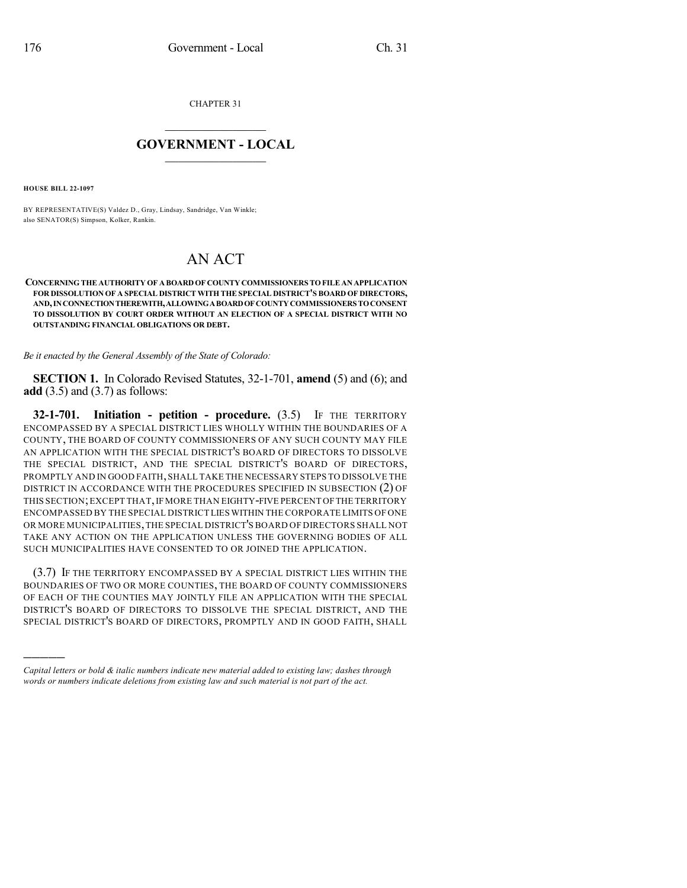CHAPTER 31

## $\mathcal{L}_\text{max}$  . The set of the set of the set of the set of the set of the set of the set of the set of the set of the set of the set of the set of the set of the set of the set of the set of the set of the set of the set **GOVERNMENT - LOCAL**  $\_$

**HOUSE BILL 22-1097**

)))))

BY REPRESENTATIVE(S) Valdez D., Gray, Lindsay, Sandridge, Van Winkle; also SENATOR(S) Simpson, Kolker, Rankin.

## AN ACT

## **CONCERNING THE AUTHORITY OF A BOARD OF COUNTY COMMISSIONERS TOFILE AN APPLICATION FOR DISSOLUTION OF A SPECIAL DISTRICT WITH THE SPECIAL DISTRICT'S BOARD OF DIRECTORS, AND,INCONNECTIONTHEREWITH,ALLOWINGABOARDOFCOUNTYCOMMISSIONERS TOCONSENT TO DISSOLUTION BY COURT ORDER WITHOUT AN ELECTION OF A SPECIAL DISTRICT WITH NO OUTSTANDING FINANCIAL OBLIGATIONS OR DEBT.**

*Be it enacted by the General Assembly of the State of Colorado:*

**SECTION 1.** In Colorado Revised Statutes, 32-1-701, **amend** (5) and (6); and **add** (3.5) and (3.7) as follows:

**32-1-701. Initiation - petition - procedure.** (3.5) IF THE TERRITORY ENCOMPASSED BY A SPECIAL DISTRICT LIES WHOLLY WITHIN THE BOUNDARIES OF A COUNTY, THE BOARD OF COUNTY COMMISSIONERS OF ANY SUCH COUNTY MAY FILE AN APPLICATION WITH THE SPECIAL DISTRICT'S BOARD OF DIRECTORS TO DISSOLVE THE SPECIAL DISTRICT, AND THE SPECIAL DISTRICT'S BOARD OF DIRECTORS, PROMPTLY AND IN GOOD FAITH,SHALL TAKE THE NECESSARY STEPS TO DISSOLVE THE DISTRICT IN ACCORDANCE WITH THE PROCEDURES SPECIFIED IN SUBSECTION (2) OF THIS SECTION; EXCEPT THAT, IF MORE THAN EIGHTY-FIVE PERCENT OF THE TERRITORY ENCOMPASSED BY THE SPECIAL DISTRICT LIES WITHIN THE CORPORATE LIMITS OFONE OR MORE MUNICIPALITIES,THE SPECIAL DISTRICT'S BOARD OF DIRECTORS SHALL NOT TAKE ANY ACTION ON THE APPLICATION UNLESS THE GOVERNING BODIES OF ALL SUCH MUNICIPALITIES HAVE CONSENTED TO OR JOINED THE APPLICATION.

(3.7) IF THE TERRITORY ENCOMPASSED BY A SPECIAL DISTRICT LIES WITHIN THE BOUNDARIES OF TWO OR MORE COUNTIES, THE BOARD OF COUNTY COMMISSIONERS OF EACH OF THE COUNTIES MAY JOINTLY FILE AN APPLICATION WITH THE SPECIAL DISTRICT'S BOARD OF DIRECTORS TO DISSOLVE THE SPECIAL DISTRICT, AND THE SPECIAL DISTRICT'S BOARD OF DIRECTORS, PROMPTLY AND IN GOOD FAITH, SHALL

*Capital letters or bold & italic numbers indicate new material added to existing law; dashes through words or numbers indicate deletions from existing law and such material is not part of the act.*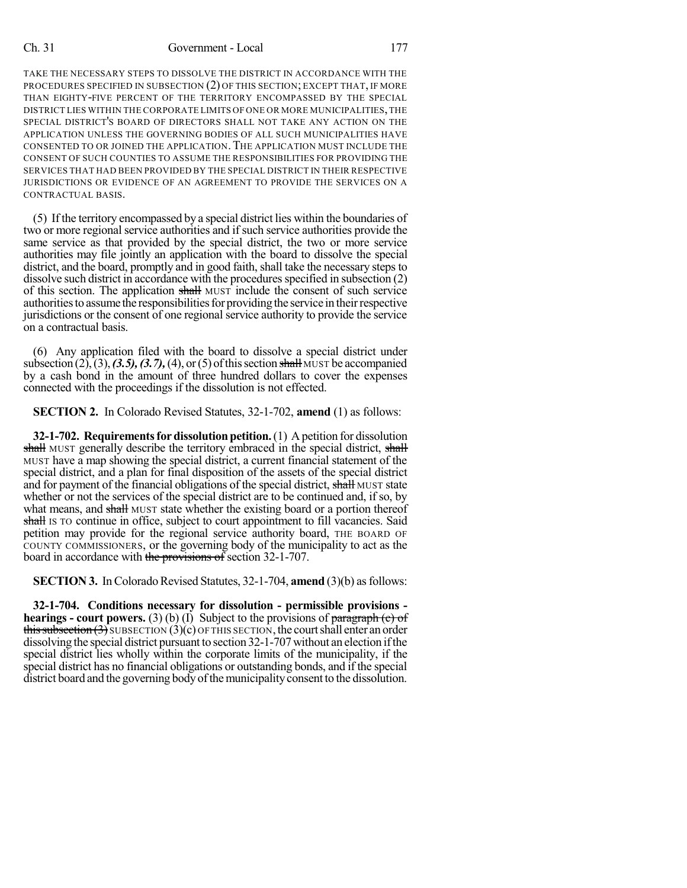TAKE THE NECESSARY STEPS TO DISSOLVE THE DISTRICT IN ACCORDANCE WITH THE PROCEDURES SPECIFIED IN SUBSECTION (2) OF THIS SECTION; EXCEPT THAT, IF MORE THAN EIGHTY-FIVE PERCENT OF THE TERRITORY ENCOMPASSED BY THE SPECIAL DISTRICT LIES WITHIN THE CORPORATE LIMITS OFONE OR MORE MUNICIPALITIES,THE SPECIAL DISTRICT'S BOARD OF DIRECTORS SHALL NOT TAKE ANY ACTION ON THE APPLICATION UNLESS THE GOVERNING BODIES OF ALL SUCH MUNICIPALITIES HAVE CONSENTED TO OR JOINED THE APPLICATION.THE APPLICATION MUST INCLUDE THE CONSENT OF SUCH COUNTIES TO ASSUME THE RESPONSIBILITIES FOR PROVIDING THE SERVICES THAT HAD BEEN PROVIDED BY THE SPECIAL DISTRICT IN THEIR RESPECTIVE JURISDICTIONS OR EVIDENCE OF AN AGREEMENT TO PROVIDE THE SERVICES ON A CONTRACTUAL BASIS.

(5) If the territory encompassed by a special district lies within the boundaries of two or more regional service authorities and ifsuch service authorities provide the same service as that provided by the special district, the two or more service authorities may file jointly an application with the board to dissolve the special district, and the board, promptly and in good faith, shall take the necessary steps to dissolve such district in accordance with the procedures specified in subsection (2) of this section. The application shall MUST include the consent of such service authorities to assume the responsibilities for providing the service in their respective jurisdictions or the consent of one regional service authority to provide the service on a contractual basis.

(6) Any application filed with the board to dissolve a special district under subsection  $(2)$ ,  $(3)$ ,  $(3.5)$ ,  $(3.7)$ ,  $(4)$ , or  $(5)$  of this section shall MUST be accompanied by a cash bond in the amount of three hundred dollars to cover the expenses connected with the proceedings if the dissolution is not effected.

**SECTION 2.** In Colorado Revised Statutes, 32-1-702, **amend** (1) as follows:

**32-1-702. Requirements for dissolution petition.** (1) A petition for dissolution shall MUST generally describe the territory embraced in the special district, shall MUST have a map showing the special district, a current financial statement of the special district, and a plan for final disposition of the assets of the special district and for payment of the financial obligations of the special district, shall MUST state whether or not the services of the special district are to be continued and, if so, by what means, and shall MUST state whether the existing board or a portion thereof shall is to continue in office, subject to court appointment to fill vacancies. Said petition may provide for the regional service authority board, THE BOARD OF COUNTY COMMISSIONERS, or the governing body of the municipality to act as the board in accordance with the provisions of section 32-1-707.

**SECTION 3.** In Colorado Revised Statutes, 32-1-704, **amend** (3)(b) as follows:

**32-1-704. Conditions necessary for dissolution - permissible provisions hearings - court powers.** (3) (b) (I) Subject to the provisions of  $\frac{\text{paramal}}{\text{paramal}}(c)$  of this subsection  $(3)$  SUBSECTION  $(3)(c)$  OF THIS SECTION, the court shall enter an order dissolving the special district pursuant to section 32-1-707 without an election if the special district lies wholly within the corporate limits of the municipality, if the special district has no financial obligations or outstanding bonds, and if the special district board and the governing body of the municipality consent to the dissolution.